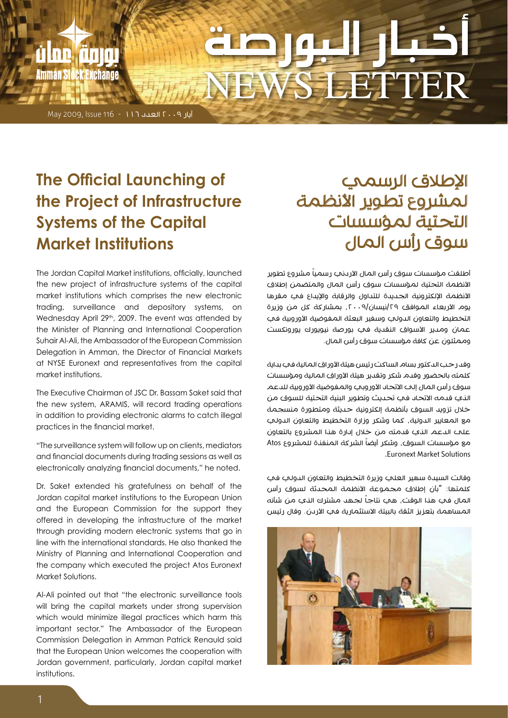# NEWS LETTER

 $May 2009, Issue 116 - 117$  العدد 117 - 116

il ne *f*irna

Amman Stock Exchange

# **The Official Launching of the Project of Infrastructure Systems of the Capital Institutions Market**

The Jordan Capital Market institutions, officially, launched the new project of infrastructure systems of the capital market institutions which comprises the new electronic trading, surveillance and depository systems, on Wednesday April  $29<sup>th</sup>$ , 2009. The event was attended by the Minister of Planning and International Cooperation Suhair Al-Ali, the Ambassador of the European Commission Delegation in Amman, the Director of Financial Markets at NYSE Euronext and representatives from the capital market institutions

The Executive Chairman of JSC Dr. Bassam Saket said that the new system, ARAMIS, will record trading operations in addition to providing electronic alarms to catch illegal practices in the financial market.

"The surveillance system will follow up on clients, mediators and financial documents during trading sessions as well as electronically analyzing financial documents," he noted.

Dr. Saket extended his gratefulness on behalf of the Jordan capital market institutions to the European Union and the European Commission for the support they offered in developing the infrastructure of the market through providing modern electronic systems that go in line with the international standards. He also thanked the Ministry of Planning and International Cooperation and the company which executed the project Atos Euronext Market Solutions.

Al-Ali pointed out that "the electronic surveillance tools will bring the capital markets under strong supervision which would minimize illegal practices which harm this important sector." The Ambassador of the European Commission Delegation in Amman Patrick Renauld said that the European Union welcomes the cooperation with Jordan government, particularly, Jordan capital market .institutions

### اإلطالق الرسمي لمشروع تطوير الأنظمة التحتية لمؤسسات سوق رأس المال

أطلقت مؤسسات سوق رأس المال الأردني رسمياً مشروع تطوير الأنظمة التحتية لمؤسسات سوق رأس المال والمتضمن إطلاق الأنظمة الإلكترونية الجديدة للتداول والرقابة والإيداع في مقرها يوم الأربعاء الموافق ٢٩/نيسان/٢٠٠٩، بمشاركة كل من وزيرة التخطيط والتعاون الدولي وسفير البعثة المفوضية الأوروبية في عمان ومدير الأسواف النقدية في بورصة نيويورك يورونكست وممثلون عن كافة مؤسسات سوق رأس المال.

وقد رحب الدكتور بسام الساكت رئيس هيئة الأوراق المالية في بداية كلمته بالحضور وقدم شكر وتقدير هيئة الأوراق المالية ومؤسسات سوق رأس المال إلح الاتحاد الأوروبي والمفوضية الأوروبية للدعم الذي قدمه االتحاد في تحديث وتطوير البنية التحتية للسوق من خالل تزويد السوق بأنظمة إلكترونية حديثة ومتطورة منسجمة مع المعايير الدولية، كما وشكر وزارة التخطيط والتعاون الدولي على الدعم الذي قدمته من خالل إدارة هذا المشروع بالتعاون مع مؤسسات السوق، وشكر أيضاً الشركة المنفنة للمشروع Atos Solutions Market Euronext.

وقالت السيدة سهير العلي وزيرة التخطيط والتعاون الدولي في كلمتها: "بأن إطلاق مجموعة الأنظمة المحدثة لسوق رأس المال في هنا الوقت، هي نتاجاً لجهد مشترك الني من شأنه المساهمة بتعزيز الثقة بالبيئة الاستثمارية في الأردن. وقال رئيس

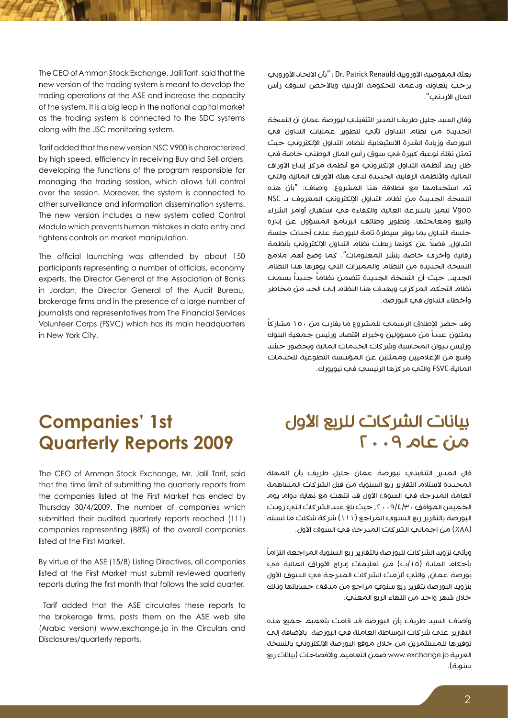بعثة المفوضية الأوروبية Dr. Patrick Renauld : "بأن الاتحاد الأوروبي يرحب بتعاونه ودعمه للحكومة الأردنية وبالأخص لسوق رأس المال الأردني".

وقال السيد جليل طريف المدير التنفيذي لبورصة عمان أن النسخة الجديدة من نظام التداول تأتي لتطوير عمليات التداول في البورصة وزيادة القدرة الاستيعابية لنظام التداول الإلكتروني حيث تمثل نقلة نوعية كبيرة في سوق رأس المال الوطني خاصة في ظل ربط أنظمة التداول الإلكتروني مع أنظمة مركز إيداع الأوراق المالية والأنظمة الرقابية الجديدة لدى هيئة الأوراق المالية والتي تم استخدامها مع انطالقة هذا المشروع. وأضاف: "بأن هذه النسخة الجديدة من نظام التداول اإللكتروني المعروف بـ NSC 900V تتميز بالسرعة العالية والكفاءة في استقبال أوامر الشراء والبيع ومعالجتها، وتطوير وظائف البرنامج المسؤول عن إدارة جلسة التداول بما يوفر سيطرة تامة للبورصة على أحداث جلسة ً التداول، فضال عن كونها ربطت نظام التداول اإللكتروني بأنظمة رقابية وأخرى خاصة بنشر المعلومات". كما وضح أهم مالمح النسخة الجديدة من النظام والمميزات التي يوفرها هذا النظام الجديد، حيث أن النسخة الجديدة تتضمن نظاماً جديداً يسمحه نظام التحكم المركزي ويهدف هذا النظام إلى الحد من مخاطر وأخطاء التداول في البورصة.

ً وقد حضر الإطلاق الرسمي للمشروع ما يقارب من ١٥٠ مشاركاً يمثلون عدداً من مسؤولين وخبراء اقتصاد ورئيس جمعية البنوك ورئيس ديوان المحاسبة وشركات الخدمات المالية وبحضور حشد واسع من اإلعالميين وممثلين عن المؤسسة التطوعية للخدمات المالية FSVC والتي مركزها الرئيسي في نيويورك.

#### The CEO of Amman Stock Exchange, Jalil Tarif, said that the new version of the trading system is meant to develop the trading operations at the ASE and increase the capacity of the system. It is a big leap in the national capital market as the trading system is connected to the SDC systems along with the JSC monitoring system.

Tarif added that the new version NSC V900 is characterized by high speed, efficiency in receiving Buy and Sell orders, developing the functions of the program responsible for managing the trading session, which allows full control over the session. Moreover, the system is connected to other surveillance and information dissemination systems. The new version includes a new system called Control Module which prevents human mistakes in data entry and tightens controls on market manipulation.

The official launching was attended by about 150 participants representing a number of officials, economy experts, the Director General of the Association of Banks in Jordan, the Director General of the Audit Bureau, brokerage firms and in the presence of a large number of journalists and representatives from The Financial Services Volunteer Corps (FSVC) which has its main headquarters in New York City.

# **Companies' 1st 2009 Reports Quarterly**

The CEO of Amman Stock Exchange, Mr. Jalil Tarif, said that the time limit of submitting the quarterly reports from the companies listed at the First Market has ended by Thursday 30/4/2009. The number of companies which submitted their audited auarterly reports reached (111) companies representing (88%) of the overall companies listed at the First Market.

By virtue of the ASE (15/B) Listing Directives, all companies listed at the First Market must submit reviewed quarterly reports during the first month that follows the said quarter.

Tarif added that the ASE circulates these reports to the brokerage firms, posts them on the ASE web site (Arabic version) www.exchange.jo in the Circulars and Disclosures/quarterly reports.

#### بيانات الشركات للربع الأول  $a$   $a$   $b$   $a$   $b$   $c$   $a$

قال المدير التنفيذي لبورصة عمان جليل طريف بأن المهلة المحددة لاستلام التقارير ربع السنوية من قبل الشركات المساهمة العامة المدرجة في السوق الأول قد انتهت مع نهاية دوام يوم الخميس الموافق ،2009/4/30 حيث بلغ عدد الشركات التي زودت البورصة بالتقرير ربع السنوي المراجع )111( شركة شكلت ما نسبته (٨٨٪) من إجمالي الشركات المدرجة في السوق الأول.

ً ويأتي تزويد الشركات للبورصة بالتقارير ربع السنوية المراجعة التزاما بأحكام المادة (١٥/ب) من تعليمات إدراج الأوراق المالية في بورصة عمان، والتي ألزمت الشركات المدرجة في السوق الأول بتزويد البورصة بتقرير ربع سنوي مراجع من مدقق حساباتها وذلك خالل شهر واحد من انتهاء الربع المعني.

وأضاف السيد طريف بأن البورصة قد قامت بتعميم جميع هذه التقارير على شركات الوساطة العاملة في البورصة، باإلضافة إلى توفيرها للمستثمرين من خلال موقع البورصة الإلكتروني بالنسخة العربية jo.exchange.www ضمن التعاميم واالفصاحات )بيانات ربع سنوية).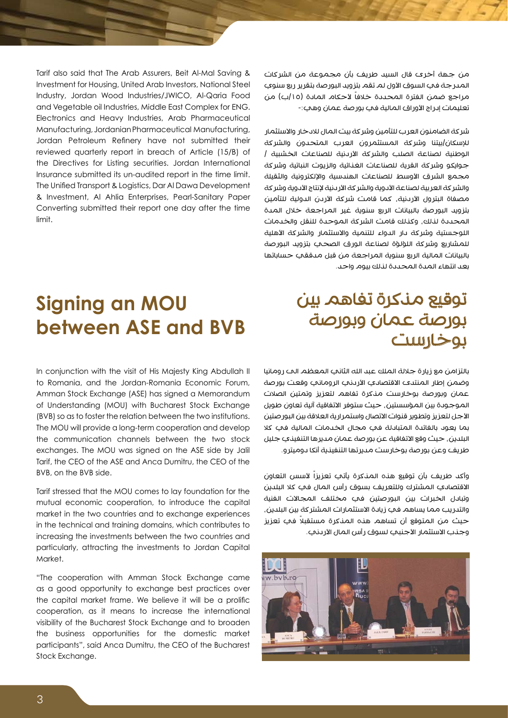من جهة أخرى قال السيد طريف بأن مجموعة من الشركات المدرجة في السوق الأول لم تقم بتزويد البورصة بتقرير ربع سنوي مراجع ضمن الفترة المحددة خلافاً لأحكام المادة (١٥/ب) من تعليمات إدراج الأوراق المالية في بورصة عمان وهي:-

شركة الضامنون العرب للتأمين وشركة بيت المال لالدخار واالستثمار لإلسكان/بيتنا وشركة المستثمرون العرب المتحدون والشركة الوطنية لصناعة الصلب والشركة الأردنية للصناعات الخشبية | جوايكو وشركة القرية للصناعات الغذائية والزيوت النباتية وشركة مجمع الشرق الأوسط للصناعات الهندسية والإلكترونية والثقيلة والشر كة العربية لصناعة الأدوية والشركة الأربنية لإنتاج الأدوية وشركة مصفاة البترول الأردنية، كما قامت شركة الأردن الدولية للتأمين بتزويد البورصة بالبيانات الربع سنوية غير المراجعة خالل المدة المحددة لذلك، وكذلك قامت الشركة الموحدة للنقل والخدمات اللوجستية وشركة دار الدواء للتنمية والاستثمار والشركة الأهلية للمشاريع وشركة اللؤلؤة لصناعة الورق الصحي بتزويد البورصة بالبيانات المالية الربع سنوية المراجعة من قبل مدققي حساباتها بعد انتهاء المدة المحددة لذلك بيوم واحد.

#### توقيع مذكرة تفاهم بين بورصة عمان وبورصة بوخارست

بالتزامن مع زيارة جاللة الملك عبد الله الثاني المعظم الى رومانيا وضمن إطار المنتدى الاقتصادي الأردني الروماني وقعت بورصة عمان وبورصة بوخارست مذكرة تفاهم لتعزيز وتمتين الصالت الموجودة بين المؤسستين، حيث ستوفر الاتفاقية آلية تعاون طويل الأجل لتعزيز وتطوير قنوات الاتصال واستمرارية العلاقة بين البورصتين بما يعود بالفائدة المتبادلة في مجال الخدمات المالية في كال البلدين، حيث وقع االتفاقية عن بورصة عمان مديرها التنفيذي جليل طريف وعن بورصة بوخارست مديرتها التنفيذية أنكا دوميترو.

وأكد طريف بأن توقيع هذه المذكرة يأتي تعزيزاً ألسس التعاون االقتصادي المشترك وللتعريف بسوق رأس المال في كال البلدين وتبادل الخبرات بين البورصتين في مختلف المجاالت الفنية والتدريب مما يساهم في زيادة االستثمارات المشتركة بين البلدين، ً حيث من المتوقع أن تساهم هذه المذكرة مستقبال في تعزيز وجذب الاستثمار الأجنبي لسوق رأس المال الأردني.



Tarif also said that The Arab Assurers, Beit Al-Mal Saving & Investment for Housing, United Arab Investors, National Steel Industry, Jordan Wood Industries/JWICO, Al-Qaria Food and Vegetable oil Industries, Middle East Complex for ENG. Electronics and Heavy Industries, Arab Pharmaceutical Manufacturing, Jordanian Pharmaceutical Manufacturing, Jordan Petroleum Refinery have not submitted their reviewed quarterly report in breach of Article (15/B) of the Directives for Listing securities. Jordan International Insurance submitted its un-audited report in the time limit. The Unified Transport & Logistics, Dar Al Dawa Development & Investment, Al Ahlia Enterprises, Pearl-Sanitary Paper Converting submitted their report one day after the time limit.

# **Signing an MOU between ASE and BVB**

In conjunction with the visit of His Majesty King Abdullah II to Romania, and the Jordan-Romania Economic Forum, Amman Stock Exchange (ASE) has signed a Memorandum of Understanding (MOU) with Bucharest Stock Exchange (BVB) so as to foster the relation between the two institutions. The MOU will provide a long-term cooperation and develop the communication channels between the two stock exchanges. The MOU was signed on the ASE side by Jalil Tarif, the CEO of the ASE and Anca Dumitru, the CEO of the BVB on the BVB side

Tarif stressed that the MOU comes to lay foundation for the mutual economic cooperation, to introduce the capital market in the two countries and to exchange experiences in the technical and training domains, which contributes to increasing the investments between the two countries and particularly, attracting the investments to Jordan Capital .Market

"The cooperation with Amman Stock Exchange came as a good opportunity to exchange best practices over the capital market frame. We believe it will be a prolific cooperation, as it means to increase the international visibility of the Bucharest Stock Exchange and to broaden the business opportunities for the domestic market participants", said Anca Dumitru, the CEO of the Bucharest Stock Exchange.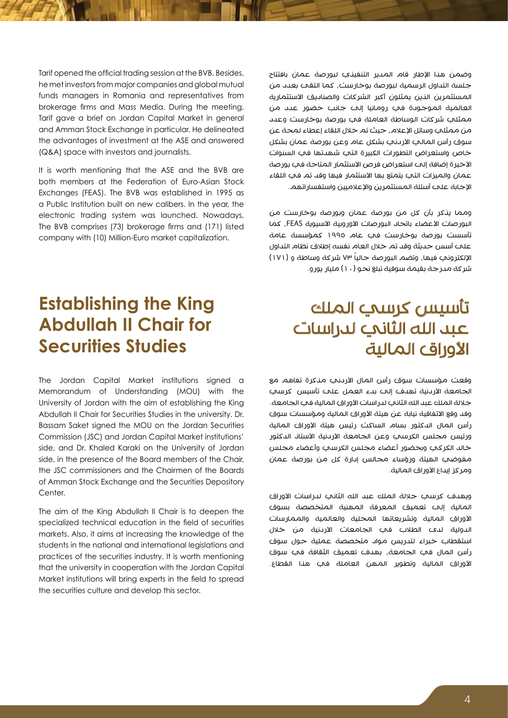وضمن هذا اإلطار قام المدير التنفيذي لبورصة عمان بافتتاح جلسة التداول الرسمية لبورصة بوخارست، كما التقى بعدد من المستثمرين الذين يمثلون أكبر الشركات والصناديق االستثمارية العالمية الموجودة في رومانيا إلى جانب حضور عدد من ممثلي شركات الوساطة العاملة في بورصة بوخارست وعدد من ممثلي وسائل الإعلام، حيث تم خلال اللقاء إعطاء لمحة عن سوق رأس المالي الأردني بشكل عام وعن بورصة عمان بشكل خاص واستعراض التطورات الكبيرة التي شهدتها في السنوات الأخيرة إضافة إلت استعراض فرص الاستثمار المتاحة في بورصة عمان والميزات التي يتمتع بها االستثمار فيها وقد تم في اللقاء الإجابة علمه أسئلة المستثمرين والإعلاميين واستفسار اتهم.

ومما يذكر بأن كل من بورصة عمان وبورصة بوخارست من البورصات الأعضاء باتحاد البورصات الأوروبية الآسيوية FEAS، كما تأسست بورصة بوخارست في عام 1995 كمؤسسة عامة على أسس حديثة وقد تم خالل العام نفسه إطالق نظام التداول الإلكتروني فيها، وتضم البورصة حالياً ٧٣ شركة وساطة و (١٧١) شركة مدرجة بقيمة سوقية تبلغ نحو )10( مليار يورو.

#### تأسيس كرسي الملك عبد الله الثاني لدراسات الأوراق المالية

وقعت مؤسسات سوق رأس المال األردني مذكرة تفاهم مع الجامعة الأردنية تهدف إلى بدء العمل على تأسيس كرسي جلالة الملك عبد الله الثانب لدراسات الأوراق المالية في الجامعة. وقد وقع الاتفاقية نيابة عن هيئة الأوراق المالية ومؤسسات سوق رأس المال الدكتور بسام الساكت رئيس هيئة األوراق المالية ورئيس مجلس الكرسب وعن الجامعة الأردنية الأستان الدكتور خالد الكركي وبحضور أعضاء مجلس الكرسي وأعضاء مجلس مفوضي الهيئة ورؤساء مجالس إدارة كل من بورصة عمان ومركز إيداع الأوراق المالية.

ويهدف كرسي جاللة الملك عبد الله الثاني لدراسات األوراق المالية إلى تعميق المعرفة المهنية المتخصصة بسوق األوراق المالية وتشريعاتها المحلية والعالمية والممارسات الدولية لدى الطالب في الجامعات األردنية من خالل استقطاب خبراء لتدريس مواد متخصصة عملية حول سوق رأس المال في الجامعة، بهدف تعميق الثقافة في سوق األوراق المالية وتطوير المهن العاملة في هذا القطاع.

Tarif opened the official trading session at the BVB. Besides, he met investors from major companies and global mutual funds managers in Romania and representatives from brokerage firms and Mass Media. During the meeting, Tarif gave a brief on Jordan Capital Market in general and Amman Stock Exchange in particular. He delineated the advantages of investment at the ASE and answered (Q&A) space with investors and journalists.

It is worth mentioning that the ASE and the BVB are both members at the Federation of Euro-Asian Stock Exchanges (FEAS). The BVB was established in 1995 as a Public Institution built on new calibers. In the year, the electronic trading system was launched. Nowadays, The BVB comprises (73) brokerage firms and (171) listed company with (10) Million-Euro market capitalization.

#### **Establishing the King Abdullah II Chair for Securities Studies**

The Jordan Capital Market institutions sianed a Memorandum of Understanding (MOU) with the University of Jordan with the aim of establishing the King Abdullah II Chair for Securities Studies in the university. Dr. Bassam Saket signed the MOU on the Jordan Securities Commission (JSC) and Jordan Capital Market institutions' side, and Dr. Khaled Karaki on the University of Jordan side, in the presence of the Board members of the Chair, the JSC commissioners and the Chairmen of the Boards of Amman Stock Exchange and the Securities Depository .Center

The aim of the King Abdullah II Chair is to deepen the specialized technical education in the field of securities markets. Also, it aims at increasing the knowledge of the students in the national and international legislations and practices of the securities industry. It is worth mentioning that the university in cooperation with the Jordan Capital Market institutions will bring experts in the field to spread the securities culture and develop this sector.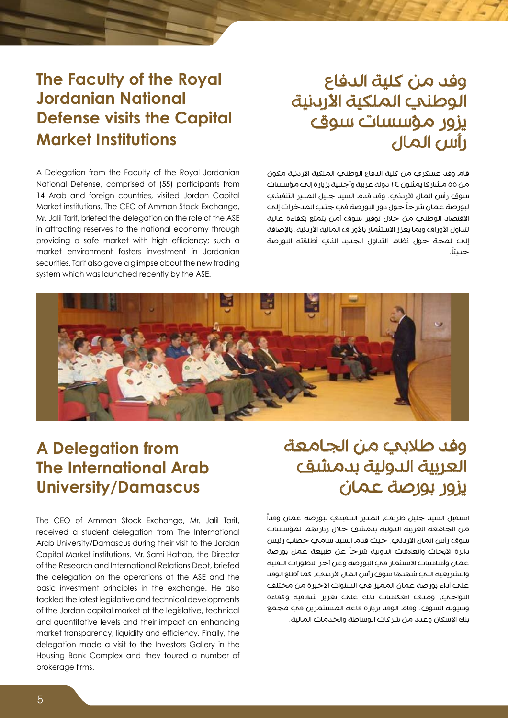### وفد من كلية الدفاع الوطنمي الملكية الأردنية يزور مؤسسات سوق رأس المال

قام وفد عسكري من كلية الدفاع الوطني الملكية األردنية مكون من 55 مشاركا يمثلون 14 دولة عربية وأجنبية بزيارة إلى مؤسسات سوق رأس المال الأردني. وقد قدم السيد جليل المدير التنفيذي لبور صة عمان شرحاً حول دور البور صة في جنب المدخرات إلى االقتصاد الوطني من خالل توفير سوق آمن يتمتع بكفاءة عالية لتداول الأوراق وبما يعزز الاستثمار بالأوراق المالية الأردنية، بالإضافة إلى لمحة حول نظام التداول الجديد الذي أطلقته البورصة .ً حديثا

#### وفد طالبي من الجامعة العربية الدولية بدمشق يزور بورصة عمان

استقبل السيد جليل طريف، المدير التنفيذي لبورصة عمان وفداً من الجامعة العربية الدولية بدمشق خالل زيارتهم لمؤسسات سوق رأس المال الأردني، حيث قدم السيد سامي حطاب رئيس دائرة الأبحاث والعلاقات الدولية شرحاً عن طبيعة عمل بورصة عمان وأساسيات االستثمار في البورصة وعن آخر التطورات التقنية والتشريعية التي شهدها سوق رأس المال الأردني، كما أطلع الوفد علم أداء بورصة عمان المميز في السنوات الأخيرة من مختلف النواحي، ومدى انعكاسات ذلك على تعزيز شفافية وكفاءة وسيولة السوق. وقام الوفد بزيارة قاعة المستثمرين في مجمع بنك اإلسكان وعدد من شركات الوساطة والخدمات المالية.

#### **A Delegation from The International Arab University/Damascus**

The CEO of Amman Stock Exchange, Mr. Jalil Tarif, received a student delegation from The International Arab University/Damascus during their visit to the Jordan Capital Market institutions. Mr. Sami Hattab, the Director of the Research and International Relations Dept, briefed the delegation on the operations at the ASE and the basic investment principles in the exchange. He also tackled the latest legislative and technical developments of the Jordan capital market at the legislative, technical and quantitative levels and their impact on enhancing market transparency, liquidity and efficiency. Finally, the delegation made a visit to the Investors Gallery in the Housing Bank Complex and they toured a number of brokerage firms.

#### **The Faculty of the Royal National Jordanian Defense visits the Capital Institutions Market**

A Delegation from the Faculty of the Royal Jordanian National Defense, comprised of (55) participants from 14 Arab and foreign countries, visited Jordan Capital Market institutions. The CEO of Amman Stock Exchange, Mr. Jalil Tarif, briefed the delegation on the role of the ASE in attracting reserves to the national economy through providing a safe market with high efficiency; such a market environment fosters investment in Jordanian securities. Tarif also gave a glimpse about the new trading system which was launched recently by the ASE.

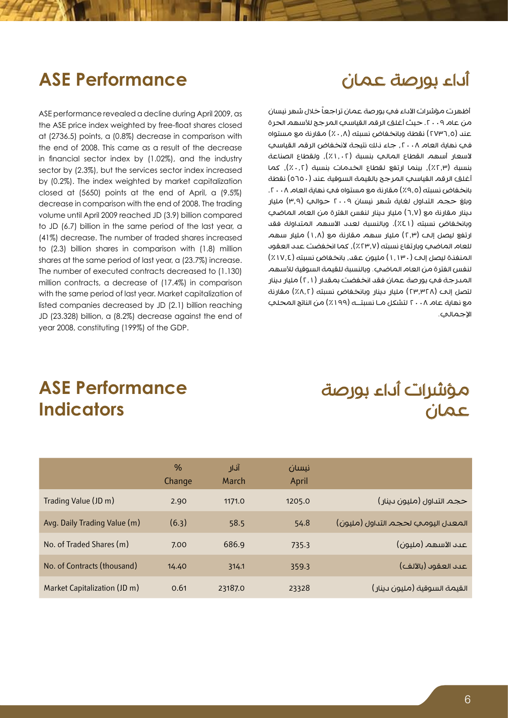# أداء بورصة عمان

# **ASE Performance**

ASE performance revealed a decline during April 2009, as the ASE price index weighted by free-float shares closed at  $(2736.5)$  points, a  $(0.8\%)$  decrease in comparison with the end of 2008. This came as a result of the decrease in financial sector index by  $(1.02%)$ , and the industry sector by (2.3%), but the services sector index increased by (0.2%). The index weighted by market capitalization closed at  $(5650)$  points at the end of April, a  $(9.5\%)$ decrease in comparison with the end of 2008. The trading volume until April 2009 reached JD (3.9) billion compared to JD (6.7) billion in the same period of the last year, a (41%) decrease. The number of traded shares increased to  $(2.3)$  billion shares in comparison with  $(1.8)$  million shares at the same period of last year, a (23.7%) increase. The number of executed contracts decreased to (1.130) million contracts, a decrease of (17.4%) in comparison with the same period of last year. Market capitalization of listed companies decreased by JD (2.1) billion reaching JD (23.328) billion, a (8.2%) decrease against the end of year 2008, constituting (199%) of the GDP.

أظهرت مؤشرات الأداء في بورصة عمان تراجعاً خلال شهر نيسان من عام ٢٠٠٩. حيث أغلق الرقم القياسي المرجح للأسهم الحرة عند (٢٧٣٦,٥) نقطة وبانخفاض نسبته (٠,٨٪) مقارنة مع مستواه في نهاية العام ٢٠٠٨، جاء ذلك نتيجة لانخفاض الرقم القياسي لأسعار أسهم القطاع المالي بنسبة (١,٠٢٪), ولقطاع الصناعة بنسبة (٢,٣٪), بينما ارتفع لقطاع الخدمات بنسبة (٠,٢٪), كما أغلق الرقم القياسي المرجح بالقيمة السوقية عند (٥٦٥٠) نقطة بانخفاض نسبته (٩,٥٪) مقارنة مع مستواه في نهاية العام ٢٠٠٨. وبلغ حجم التداول لغاية شهر نيسان ٢٠٠٩ حوالي (٣,٩) مليار دينار مقارنة مع )6.7( مليار دينار لنفس الفترة من العام الماضي وبانخفاض نسبته (٤٤١). وبالنسبة لعدد الأسهم المتداولة فقد ارتفع ليصل إلى (٢,٣) مليار سهم مقارنة مع (١,٨) مليار سهم للعام الماضي وبارتفاع نسبته (٢٣٫٧٪), كما انخفضت عدد العقود المنفذة ليصل إلى )1.130( مليون عقد، بانخفاض نسبته )%17.4( لنفس الفترة من العام الماضي. وبالنسبة للقيمة السوقية لألسهم المدرجة في بورصة عمان فقد انخفضت بمقدار )2.1( مليار دينار لتصل إلى (٢٣,٣٢٨) مليار دينار وبانخفاض نسبته (٨,٢٪) مقارنة مع نهاية عام ٢٠٠٨ لتشكل مـا نسبتــه (١٩٩٪) من الناتج المحلي اإلجمالي.

#### **ASE Performance Indicators**

# مؤشرات أداء بورصة عمان

|                              | $\%$<br>Change | آنار<br>March | نىسان<br>April |                                     |
|------------------------------|----------------|---------------|----------------|-------------------------------------|
| Trading Value (JD m)         | 2.90           | 1171.0        | 1205.0         | حجم التداول (مليون دينار)           |
| Avg. Daily Trading Value (m) | (6.3)          | 58.5          | 54.8           | المعدل اليوميى لحجم التداول (مليون) |
| No. of Traded Shares (m)     | 7.00           | 686.9         | 735.3          | عبد الأسهم (مليون)                  |
| No. of Contracts (thousand)  | 14.40          | 314.1         | 359.3          | عىد العقود (بالألف)                 |
| Market Capitalization (JD m) | 0.61           | 23187.0       | 23328          | القيمة السوقية (مليون دينار)        |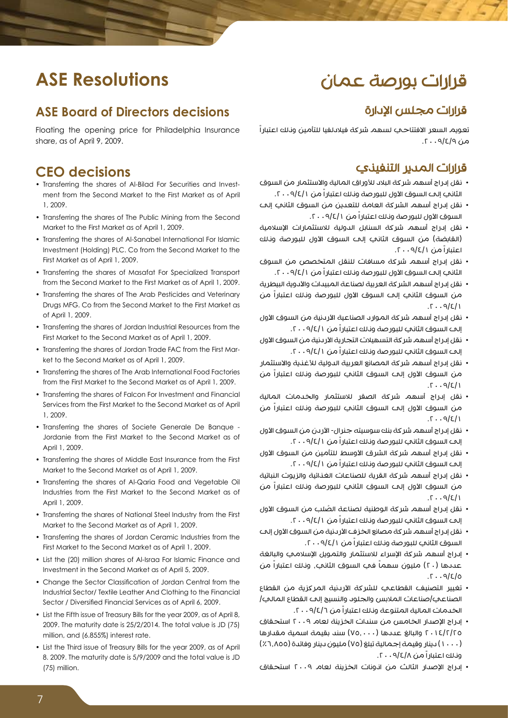#### قرارات بورصة عمان

#### **ASE Resolutions**

#### **ASE Board of Directors decisions**

Floating the opening price for Philadelphia Insurance share, as of April 9, 2009.

#### **CEO** decisions

- ment from the Second Market to the First Market as of April • Transferring the shares of Al-Bilad For Securities and Invest-2009. 1,
- Transferring the shares of The Public Mining from the Second Market to the First Market as of April 1, 2009.
- Transferring the shares of Al-Sanabel International For Islamic Investment (Holding) PLC. Co from the Second Market to the First Market as of April 1, 2009.
- Transferring the shares of Masafat For Specialized Transport from the Second Market to the First Market as of April 1, 2009.
- Transferring the shares of The Arab Pesticides and Veterinary Drugs MFG. Co from the Second Market to the First Market as of April 1, 2009.
- Transferring the shares of Jordan Industrial Resources from the First Market to the Second Market as of April 1, 2009.
- Transferring the shares of Jordan Trade FAC from the First Market to the Second Market as of April 1, 2009.
- Transferring the shares of The Arab International Food Factories from the First Market to the Second Market as of April 1, 2009.
- Transferring the shares of Falcon For Investment and Financial Services from the First Market to the Second Market as of April 2009. 1,
- Transferring the shares of Societe Generale De Banque -Jordanie from the First Market to the Second Market as of April 1, 2009.
- Transferring the shares of Middle East Insurance from the First Market to the Second Market as of April 1, 2009.
- Transferring the shares of Al-Qaria Food and Vegetable Oil Industries from the First Market to the Second Market as of April 1, 2009.
- Transferring the shares of National Steel Industry from the First Market to the Second Market as of April 1, 2009.
- Transferring the shares of Jordan Ceramic Industries from the First Market to the Second Market as of April 1, 2009.
- List the (20) million shares of Al-Israa For Islamic Finance and Investment in the Second Market as of April 5, 2009.
- Change the Sector Classification of Jordan Central from the Industrial Sector/ Textile Leather And Clothing to the Financial Sector / Diversified Financial Services as of April 6, 2009.
- List the Fifth issue of Treasury Bills for the year 2009, as of April 8,  $2009$ . The maturity date is  $25/2/2014$ . The total value is JD  $(75)$ million, and (6.855%) interest rate.
- List the Third issue of Treasury Bills for the year 2009, as of April 8. 2009. The maturity date is 5/9/2009 and the total value is JD  $(75)$  million.

#### قرارات مجلس اإلدارة

تعويم السعر الافتتاحـي لسهم شركة فيلادلفيا للتأمين ونـلك اعتباراً من ۱۶/۹/۶۰۰۹.

#### قرارات المدير التنفيذي

- نقل إدراج أسهم شركة البلاد للأوراق المالية والاستثمار من السوق الثاني إلى السوق الأول للبورصة ونلك اعتباراً من ٢٠٠٩/٤/١.
- نقل إدراج أسهم الشركة العامة للتعدين من السوق الثاني إلى السوق الأول للبورصة ونلك اعتباراً من ٢٠٠٩/٤/١.
- نقل إدراج أسهم شركة السنابل الدولية لالستثمارات اإلسالمية (القابضة) من السوق الثانب إلى السوق الأول للبورصة ونلك اعتباراً من ١ /٩/٤/٠ . ٢.
- نقل إدراج أسهم شركة مسافات للنقل المتخصص من السوق الثاني إلى السوق الأول للبورصة وذلك اعتباراً من ٩/٤/١ ٢٠٠٩.
- نقل إدراج أسهم الشركة العربية لصناعة المبيدات واألدوية البيطرية من السوق الثاني إلى السوق الأول للبورصة ونلك اعتباراً من  $.7.9/2/1$
- نقل إدراج أسهم شركة الموارد الصناعية الأردنية من السوق الأول إلى السوق الثاني للبورصة ونلك اعتباراً من ٢٠٠٩/٤/١.
- نقل إدراج أسهم شركة التسهيالت التجارية األردنية من السوق األول إلى السوق الثاني للبورصة ونلك اعتباراً من ٢٠٠٩/٤/١.
- نقل إدراج أسهم شركة المصانع العربية الدولية لألغذية واالستثمار من السوق الأول إلى السوق الثاني للبورصة وناك اعتباراً من  $.7.9/2/1$
- نقل إدراج أسهم شركة الصقر لالستثمار والخدمات المالية من السوق الأول إلى السوق الثاني للبورصة ونلك اعتباراً من  $1309.77$
- نقل إدراج أسهم شركة بنك سوسيته جنرال- األردن من السوق األول إلى السوق الثاني للبورصة ونلك اعتباراً من ٢٠٠٩/٤/١.
- نقل إدراج أسهم شركة الشرق األوسط للتأمين من السوق األول إلى السوق الثاني للبورصة وذلك اعتباراً من .2009/4/1
- نقل إدراج أسهم شركة القرية للصناعات الغذائية والزيوت النباتية من السوق الأول إلى السوق الثاني للبورصة وذلك اعتباراً من  $.7.9/E/1$
- ُ نقل إدراج أسهم شركة الوطنية لصناعة الصلب من السوق األول إلى السوق الثاني للبورصة ونلك اعتباراً من ٢٠٠٩/٤/١.
- نقل إدراج أسهم شركة مصانع الخزف األردنية من السوق األول إلى السوق الثاني للبورصة ونلك اعتباراً من ٢٠٠٩/٤/١.
- إدراج أسهم شركة الإسراء للاستثمار والتمويل الإسلامي والبالغة ً في السوق الثاني، وذلك اعتباراً من عددها )20( مليون سهما  $.7.9/2$
- تغيير التصنيف القطاعي للشركة األردنية المركزية من القطاع الصناعي/صناعات المالبس والجلود والنسيج إلى القطاع المالي/ الخدمات المالية المتنوعة وذلك اعتباراً من ٩/٤/٦ . ٢٠
- إدراج اإلصدار الخامس من سندات الخزينة لعام 2009 استحقاق 2014/2/25 والبالغ عددها )75.000( سند بقيمة اسمية مقدارها )1000( دينار وقيمة إجمالية تبلغ )75( مليون دينار وفائدة )%6.855( وذلك اعتباراً من .2009/4/8
- إدراج الإصدار الثالث من انونات الخزينة لعام ٢٠٠٩ استحقاق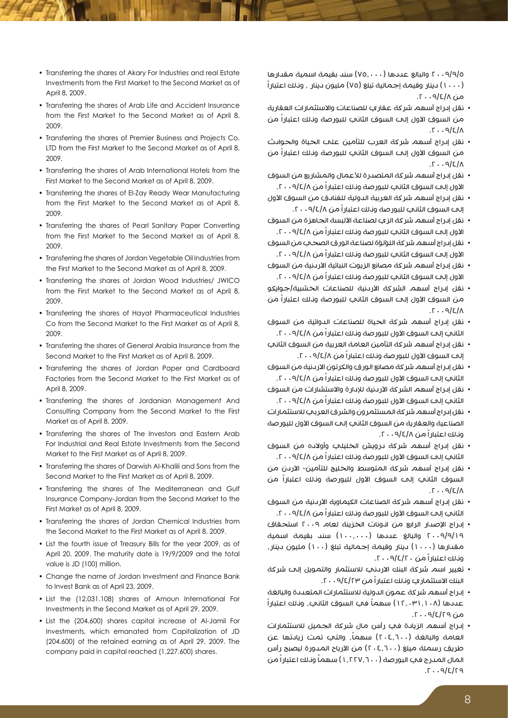- Transferring the shares of Akary For Industries and real Estate Investments from the First Market to the Second Market as of April 8, 2009.
- Transferring the shares of Arab Life and Accident Insurance from the First Market to the Second Market as of April 8, 2009.
- Transferring the shares of Premier Business and Projects Co. LTD from the First Market to the Second Market as of April 8, 2009.
- Transferring the shares of Arab International Hotels from the First Market to the Second Market as of April 8, 2009.
- Transferring the shares of El-Zay Ready Wear Manufacturing from the First Market to the Second Market as of April 8, 2009.
- Transferring the shares of Pearl Sanitary Paper Converting from the First Market to the Second Market as of April 8, 2009.
- Transferring the shares of Jordan Vegetable Oil Industries from the First Market to the Second Market as of April 8, 2009.
- Transferring the shares of Jordan Wood Industries/ JWICO from the First Market to the Second Market as of April 8, 2009.
- Transferring the shares of Hayat Pharmaceutical Industries Co from the Second Market to the First Market as of April 8. 2009.
- Transferring the shares of General Arabia Insurance from the Second Market to the First Market as of April 8, 2009.
- Transferring the shares of Jordan Paper and Cardboard Factories from the Second Market to the First Market as of April 8, 2009.
- Transferring the shares of Jordanian Management And Consulting Company from the Second Market to the First Market as of April 8, 2009.
- Transferring the shares of The Investors and Eastern Arab For Industrial and Real Estate Investments from the Second Market to the First Market as of April 8, 2009.
- Transferring the shares of Darwish Al-Khalili and Sons from the Second Market to the First Market as of April 8, 2009.
- Transferring the shares of The Mediterranean and Gulf Insurance Company-Jordan from the Second Market to the First Market as of April 8, 2009.
- Transferring the shares of Jordan Chemical Industries from the Second Market to the First Market as of April 8, 2009.
- List the fourth issue of Treasury Bills for the year 2009, as of April 20. 2009. The maturity date is 19/9/2009 and the total value is JD (100) million.
- Change the name of Jordan Investment and Finance Bank to Invest Bank as of April 23, 2009.
- List the (12.031.108) shares of Amoun International For Investments in the Second Market as of April 29, 2009.
- List the (204.600) shares capital increase of Al-Jamil For Investments, which emanated from Capitalization of JD  $(204.600)$  of the retained earning as of April 29, 2009. The company paid in capital reached (1.227.600) shares.

2009/9/5 والبالغ عددها )75.000( سند بقيمة اسمية مقدارها )1000( دينار وقيمة إجمالية تبلغ )75( مليون دينار ، وذلك اعتباراً من ٥/٤/٨ . ٢٠

- نقل إدراج أسهم شركة عقاري للصناعات واالستثمارات العقارية من السوق الأول إلى السوق الثاني للبورصة وناك اعتباراً من  $\Lambda$ |3 $\varphi$ . 7.
- نقل إدراج أسهم شركة العرب للتأمين على الحياة والحوادث من السوق الأول إلى السوق الثاني للبورصة وناك اعتباراً من  $.5.49/2.7$
- نقل إدراج أسهم شركة المتصدرة لألعمال والمشاريع من السوق الأول إلى السوق الثاني للبورصة وذلك اعتباراً من ٢٠٠٩/٤/٨.
- نقل إدراج أسهم شركة العربية الدولية للفنادق من السوق األول إلح السوق الثاني للبورصة ونلك اعتباراً من ٢٠٠٩/٤/٨.
- نقل إدراج أسهم شركة الزي لصناعة األلبسة الجاهزة من السوق الأول إلى السوق الثانب للبورصة وذلك اعتباراً من ٩/٤/٨ ٢٠٠٩.
- نقل إدراج أسهم شركة اللؤلؤة لصناعة الورق الصحي من السوق الأول إلى السوق الثاني للبورصة ونلك اعتباراً من ٢٠٠٩/٤/٨.
- نقل إدراج أسهم شركة مصانع الزيوت النباتية الأردنية من السوق الأول إلى السوق الثاني للبورصة وذلك اعتباراً من ٩/٤/٨ ٢٠٠٩.
- نقل إدراج أسهم الشركة األردنية للصناعات الخشبية/جوايكو من السوق الأول إلى السوق الثاني للبورصة وناك اعتباراً من  $.5.49/2$
- نقل إدراج أسهم شركة الحياة للصناعات الدوائية من السوق الثاني إلى السوق الأول للبورصة وذلك اعتباراً من ٩/٤/٨ ٢٠٠٩.
- نقل إدراج أسهم شركة التأمين العامة العربية من السوق الثاني إلى السوق األول للبورصة وذلك اعتباراً من .2009/4/8
- نقل إدراج أسهم شركة مصانع الورق والكرتون الاردنية من السوق الثاني إلى السوق الأول للبورصة وذلك اعتباراً من ٩/٤/٨ ٢٠٠٩.
- نقل إدراج أسهم الشركة الأردنية للإدارة والاستشارات من السوق الثاني إلى السوق الأول للبورصة وذلك اعتباراً من ٢٠٠٩/٤/٨.
- نقل إدراج أسهم شركة المستثمرون والشرق العربي لالستثمارات الصناعية والعقارية من السوق الثاني إلى السوق الأول للبورصة وذلك اعتباراً من .2009/4/8
- نقل إدراج أسهم شركة درويش الخليلي وأوالده من السوق الثاني إلى السوق الأول للبورصة وذلك اعتباراً من ٢٠٠٩/٤/٨
- نقل إدراج أسهم شركة المتوسط والخليج للتأمين- الأردن من السوق الثاني إلى السوق الأول للبورصة ونلك اعتباراً من  $T \cdot 9181$
- نقل إدراج أسهم شركة الصناعات الكيماوية الأردنية من السوق الثاني إلى السوق الأول للبورصة وذلك اعتبارا من ٢٠٠٩/٤/٨.
- إدراج الإصدار الرابع من انونات الخزينة لعام ٢٠٠٩ استحقاق 2009/9/19 والبالغ عددها )100.000( سند بقيمة اسمية مقدارها (١٠٠٠) دينار وقيمة إجمالية تبلغ (١٠٠) مليون دينار، وذلك اعتباراً من .2009/4/20
- تغيير اسم شركة البنك االردني لالستثمار والتمويل إلى شركة البنك الاستثمار ي وذلك اعتباراً من ١٢/٤/٢٣ . ٢٠
- إدراج أسهم شركة عمون الدولية لالستثمارات المتعددة والبالغة ً في السوق الثاني، وذلك اعتباراً عددها )12.031.108( سهما  $\alpha$ من 10/3/9، 1.
- إدراج أسهم الزيادة في رأس مال شركة الجميل لالستثمارات العامة والبالغة (٢٠٤,٦٠٠) سهماً، والتي تمت زيادتها عن طريق رسملة ميلغ (٢٠٤.٦٠٠) من الأرباح المدورة ليصبح رأس المال المدرج في البور صة (١,٢٢٧,٦٠٠) سهماً وناك اعتباراً من  $.7.9/2/79$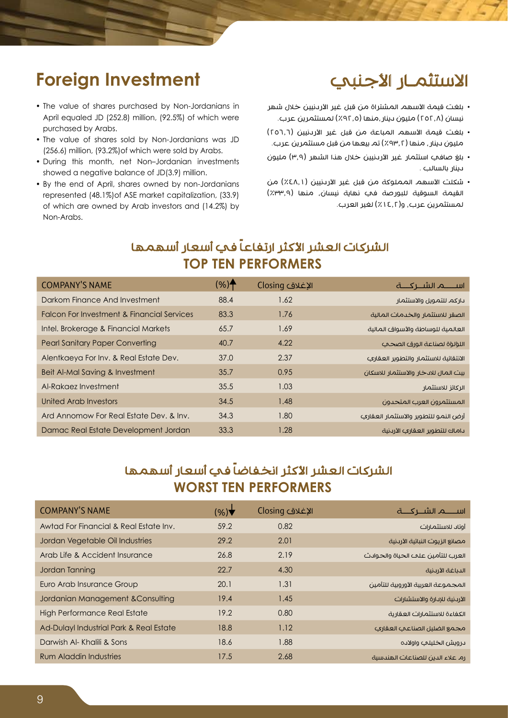#### الاستثمـار الأجنبي

# **Foreign Investment**

- The value of shares purchased by Non-Jordanians in April equaled JD (252.8) million, (92.5%) of which were purchased by Arabs.
- The value of shares sold by Non-Jordanians was JD  $(256.6)$  million,  $(93.2\%)$  of which were sold by Arabs.
- During this month, net Non-Jordanian investments showed a negative balance of JD(3.9) million.
- By the end of April, shares owned by non-Jordanians represented (48.1%) of ASE market capitalization, (33.9) of which are owned by Arab investors and (14.2%) by Non-Arabs.
- بلغت قيمة الأسهم المشتراة من قبل غير الأردنيين خلال شهر نيسان (٢٥٢,٨) مليون دينار ,منها (٢٩٢.٥) لمستثمرين عرب.
- بلغت قيمة الأسهم المباعة من قبل غير الأردنيين (٢٥٦,٦) مليون دينار، منها )%93.2( تم بيعها من قبل مستثمرين عرب.
- بلغ صافي استثمار غير األردنيين خالل هذا الشهر )3.9( مليون دينار بالسالب .
- شكلت الأسهم المملوكة من قبل غير الأردنيين (٤٨,١٪) من القيمة السوقية للبورصة في نهاية نيسان، منها (٣٣.٩٪) لمستثمرين عرب، و(١٤,٢٪) لغير العرب.

#### الشركات العشر الأكثر ارتفاعاً في أسعار أسهمها **TOP TEN PERFORMERS**

| <b>COMPANY'S NAME</b>                                 | $(%)^<$ | الإغلاق Closing |                                       |
|-------------------------------------------------------|---------|-----------------|---------------------------------------|
| Darkom Finance And Investment                         | 88.4    | 1.62            | باركم للتمويل والاستثمار              |
| <b>Falcon For Investment &amp; Financial Services</b> | 83.3    | 1.76            | الصقر للاستثمار والخدمات المالية      |
| Intel. Brokerage & Financial Markets                  | 65.7    | 1.69            | العالمية للوساطة والأسواق المالية     |
| <b>Pearl Sanitary Paper Converting</b>                | 40.7    | 4.22            | اللؤلؤة لصناعة الورق الصحب            |
| Alentkaeya For Inv. & Real Estate Dev.                | 37.0    | 2.37            | الانتقائية للاستثمار والتطوير العقاري |
| Beit Al-Mal Saving & Investment                       | 35.7    | 0.95            | بيت المال للاىخار والاستثمار للاسكان  |
| Al-Rakaez Investment                                  | 35.5    | 1.03            | الركائز للاستثمار                     |
| United Arab Investors                                 | 34.5    | 1.48            | المستثمرون العرب المتحدون             |
| Ard Annomow For Real Estate Dev. & Inv.               | 34.3    | 1.80            | أرض النمو للتطوير والاستثمار العقاري  |
| Damac Real Estate Development Jordan                  | 33.3    | 1.28            | باماك للتطوير العقاري الأربنية        |

#### الشركات العشر الأكثر انخفاضاً في أسعار أسهمها **WORST TEN PERFORMERS**

| <b>COMPANY'S NAME</b>                   | (%)  | الإغلاق Closing |                                    |
|-----------------------------------------|------|-----------------|------------------------------------|
| Awtad For Financial & Real Estate Inv.  | 59.2 | 0.82            | أوتاد للاستثمارات                  |
| Jordan Vegetable Oil Industries         | 29.2 | 2.01            | مصانع الزيوت النباتية الأردنية     |
| Arab Life & Accident Insurance          | 26.8 | 2.19            | العرب للتأمين علم الحياة والحوادث  |
| Jordan Tanning                          | 22.7 | 4.30            | الدباغة الأردنية                   |
| Euro Arab Insurance Group               | 20.1 | 1.31            | المجموعة العربية الأوروبية للتأمين |
| Jordanian Management & Consulting       | 19.4 | 1.45            | الأردنية للإدارة والاستشارات       |
| <b>High Performance Real Estate</b>     | 19.2 | 0.80            | الكفاءة للاستثمارات العقارية       |
| Ad-Dulayl Industrial Park & Real Estate | 18.8 | 1.12            | مجمع الضليل الصناعب العقاري        |
| Darwish Al- Khalili & Sons              | 18.6 | 1.88            | برويش الخليلي واولايه              |
| <b>Rum Aladdin Industries</b>           | 17.5 | 2.68            | رم علاء الدين للصناعات الهندسية    |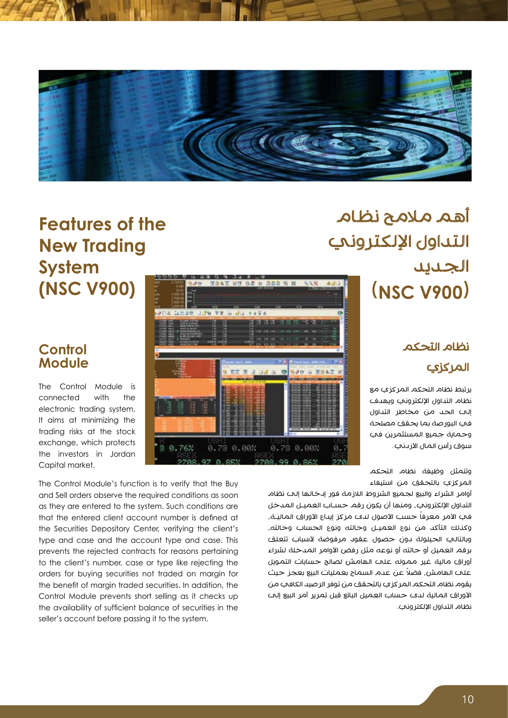

# أهم مالمح نظام التداول الإلكتروني الجديد )**900V NSC**)

#### نظام التحكم المركزي

يرتبط نظام التحكم المركزي مع نظام التداول الإلكتروني ويهدف إلى الحد من مخاطر التداول في البورصة بما يحقق مصلحة وحماية جميع المستثمرين في سوق رأس المال الأر دني.

وتتمثل وظيفة نظام التحكم المركزي بالتحقق من استيفاء

أوامر الشراء والبيع لجميع الشروط الالزمة فور إدخالها إلى نظام التداول الإلكتروني، ومنها أن يكون رقم حسـاب العميـل المدخل في الأمر معرفاً حسب الأصول لدى مركز إيداع الأوراق الماليـة، وكذلك التأكد من نوع العميـل وحالته ونوع الحساب وحالته، وبالتالي الحيلولة دون حصول عقود مرفوضة لأسباب تتعلق برقم العميل أو حالته أو نوعه مثل رفض الأوامر المدخلة لشراء أوراق مالية غير مموله على الهامش لصالح حسابات التمويل ً على الهامش، فضال عن عدم السماح بعمليات البيع بعجز حيث يقوم نظام التحكم المركزي بالتحقق من توفر الرصيد الكافي من األوراق المالية لدى حساب العميل البائع قبل تمرير أمر البيع إلى نظام التداول الإلكتروني.

# **Features** of the **New Trading System (NSC V900)**

#### **Control Module**

The Control Module is connected with the electronic trading system. It aims at minimizing the trading risks at the stock exchange, which protects the investors in Jordan Capital market.

The Control Module's function is to verify that the Buy and Sell orders observe the required conditions as soon as they are entered to the system. Such conditions are that the entered client account number is defined at the Securities Depository Center, verifying the client's type and case and the account type and case. This prevents the rejected contracts for reasons pertaining to the client's number, case or type like rejecting the orders for buying securities not traded on margin for the benefit of margin traded securities. In addition, the Control Module prevents short selling as it checks up the availability of sufficient balance of securities in the seller's account before passing it to the system.

0.76%

8.73 0.00%

octi

0.73 0.00%

 $Q_1 Q_2 Q_3$ 

 $00<sup>1</sup>$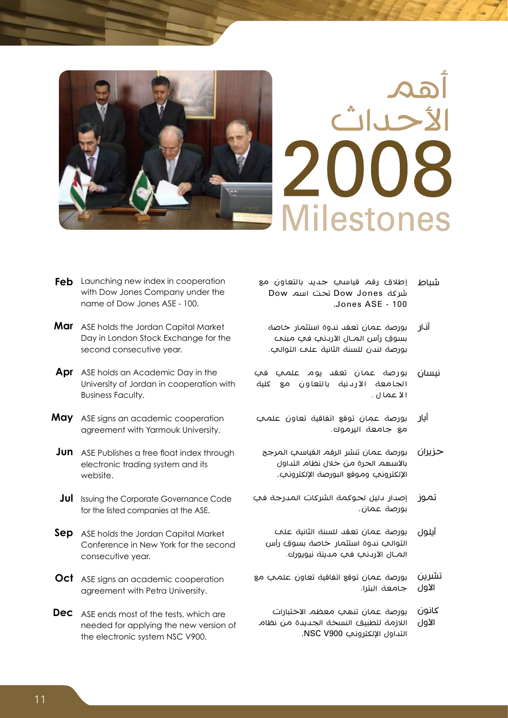



- **Feb** Launching new index in cooperation with Dow Jones Company under the name of Dow Jones ASE - 100.
- Mar ASE holds the Jordan Capital Market Day in London Stock Exchange for the second consecutive year.
- Apr ASE holds an Academic Day in the University of Jordan in cooperation with **Business Faculty.**
- May ASE signs an academic cooperation agreement with Yarmouk University.
- **Jun** ASE Publishes a free float index through electronic trading system and its website.
- Jul Issuing the Corporate Governance Code for the listed companies at the ASE.
- **Sep** ASE holds the Jordan Capital Market Conference in New York for the second consecutive year.
- Oct ASE signs an academic cooperation agreement with Petra University.
- **Dec** ASE ends most of the tests, which are needed for applying the new version of the electronic system NSC V900.
- شباط إطالق رقم قياسي جديد بالتعاون مع شركة Jones Dow تحت اسم Dow .Jones ASE - 100
	- آذار بورصة عمان تعقد ندوة استثمار خاصة بسوق رأس المــال الأردني في مبنت بورصة لندن للسنة الثانية على التوالي.
- نيسان بورصة عمان تعقد يوم علمي في ا لجا معة ا أل رد نية با لتعا و ن مع كلية ا لأ عما ل .
- أيار بورصة عمان توقع اتفاقية تعاون علمي مع جامعة اليرموك.
	- حزيران بورصة عمان تنشر الرقم القياسي المرجح بالأسهم الحرة من خلال نظام التداول اإللكتروني وموقع البورصة اإللكتروني.
- تموز إصدار دليل لحوكمة الشركات المدرجة في بورصة عمان.
	- أيلول بورصة عمان تعقد للسنة الثانية على التوالي ندوة استثمار خاصة بسوق رأس المــال الأردني في مدينة نيويورك.
- تشرين الأول بورصة عمان توقع اتفاقية تعاون علمي مع جامعة البترا.
- كانون الأول بورصة عمان تنهي معظم االختبارات الالزمة لتطبيق النسخة الجديدة من نظام التداول اإللكتروني 900V NSC.